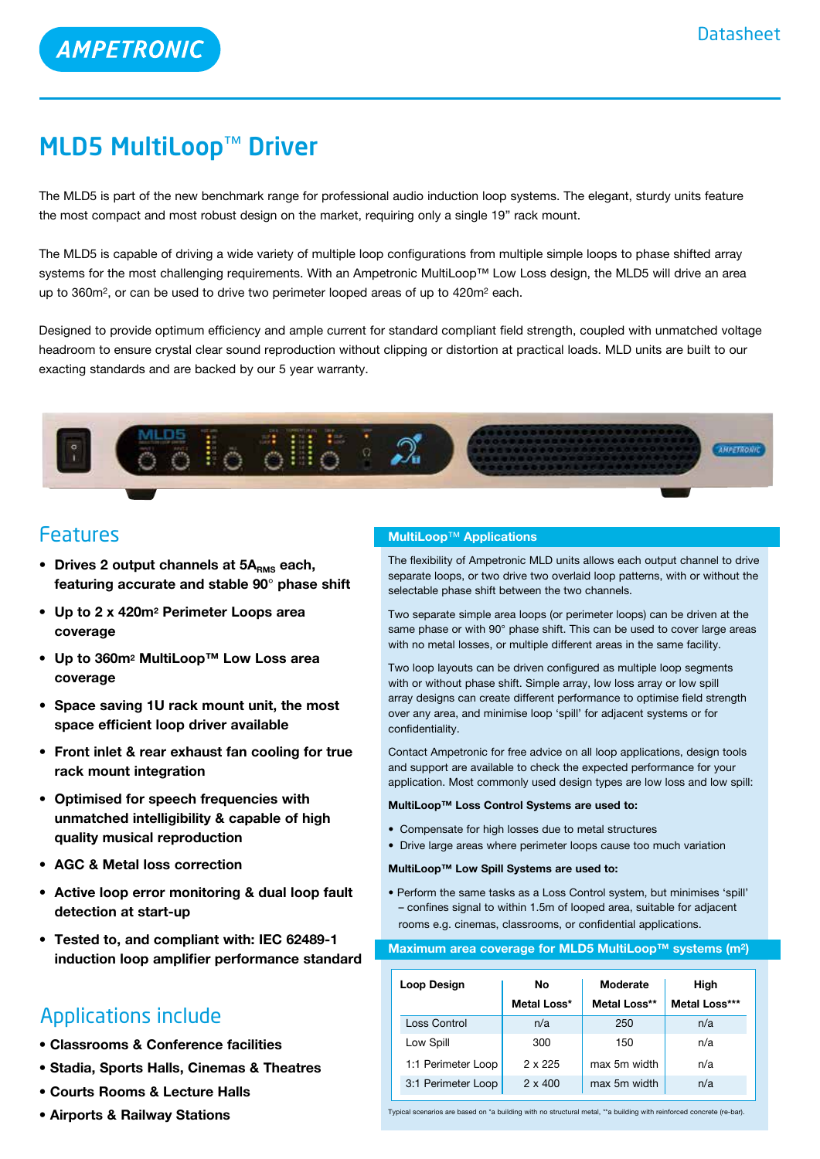# MLD5 MultiLoop™ Driver

The MLD5 is part of the new benchmark range for professional audio induction loop systems. The elegant, sturdy units feature the most compact and most robust design on the market, requiring only a single 19" rack mount.

The MLD5 is capable of driving a wide variety of multiple loop configurations from multiple simple loops to phase shifted array systems for the most challenging requirements. With an Ampetronic MultiLoop™ Low Loss design, the MLD5 will drive an area up to 360m2, or can be used to drive two perimeter looped areas of up to 420m2 each.

Designed to provide optimum efficiency and ample current for standard compliant field strength, coupled with unmatched voltage headroom to ensure crystal clear sound reproduction without clipping or distortion at practical loads. MLD units are built to our exacting standards and are backed by our 5 year warranty.



# Features

- Drives 2 output channels at 5A<sub>RMS</sub> each, **featuring accurate and stable 90**° **phase shift**
- **• Up to 2 x 420m2 Perimeter Loops area coverage**
- **• Up to 360m2 MultiLoop™ Low Loss area coverage**
- **• Space saving 1U rack mount unit, the most space efficient loop driver available**
- **• Front inlet & rear exhaust fan cooling for true rack mount integration**
- **• Optimised for speech frequencies with unmatched intelligibility & capable of high quality musical reproduction**
- **• AGC & Metal loss correction**
- **• Active loop error monitoring & dual loop fault detection at start-up**
- **• Tested to, and compliant with: IEC 62489-1 induction loop amplifier performance standard**

# Applications include

- **Classrooms & Conference facilities**
- **Stadia, Sports Halls, Cinemas & Theatres**
- **Courts Rooms & Lecture Halls**
- **Airports & Railway Stations**

### **MultiLoop**™ **Applications**

The flexibility of Ampetronic MLD units allows each output channel to drive separate loops, or two drive two overlaid loop patterns, with or without the selectable phase shift between the two channels.

Two separate simple area loops (or perimeter loops) can be driven at the same phase or with 90° phase shift. This can be used to cover large areas with no metal losses, or multiple different areas in the same facility.

Two loop layouts can be driven configured as multiple loop segments with or without phase shift. Simple array, low loss array or low spill array designs can create different performance to optimise field strength over any area, and minimise loop 'spill' for adjacent systems or for confidentiality.

Contact Ampetronic for free advice on all loop applications, design tools and support are available to check the expected performance for your application. Most commonly used design types are low loss and low spill:

#### **MultiLoop™ Loss Control Systems are used to:**

- Compensate for high losses due to metal structures
- Drive large areas where perimeter loops cause too much variation

#### **MultiLoop™ Low Spill Systems are used to:**

• Perform the same tasks as a Loss Control system, but minimises 'spill' – confines signal to within 1.5m of looped area, suitable for adjacent rooms e.g. cinemas, classrooms, or confidential applications.

#### **Maximum area coverage for MLD5 MultiLoop™ systems (m2)**

| Loop Design        | No             | Moderate     | High          |
|--------------------|----------------|--------------|---------------|
|                    | Metal Loss*    | Metal Loss** | Metal Loss*** |
| Loss Control       | n/a            | 250          | n/a           |
| Low Spill          | 300            | 150          | n/a           |
| 1:1 Perimeter Loop | $2 \times 225$ | max 5m width | n/a           |
| 3:1 Perimeter Loop | $2 \times 400$ | max 5m width | n/a           |

Typical scenarios are based on \*a building with no structural metal, \*\*a building with reinforced concrete (re-bar).